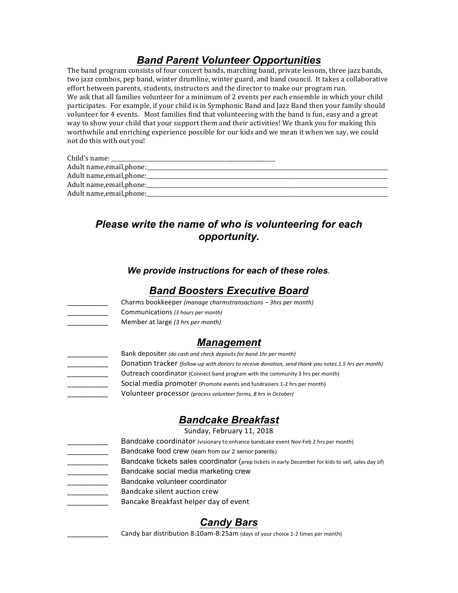# *Band Parent Volunteer Opportunities*

The band program consists of four concert bands, marching band, private lessons, three jazz bands, two jazz combos, pep band, winter drumline, winter guard, and band council. It takes a collaborative effort between parents, students, instructors and the director to make our program run. We ask that all families volunteer for a minimum of 2 events per each ensemble in which vour child participates. For example, if your child is in Symphonic Band and Jazz Band then your family should volunteer for 4 events. Most families find that volunteering with the band is fun, easy and a great way to show your child that your support them and their activities! We thank you for making this worthwhile and enriching experience possible for our kids and we mean it when we say, we could not do this with out you!

| Child's name:             |  |
|---------------------------|--|
| Adult name, email, phone: |  |
| Adult name, email, phone: |  |
| Adult name, email, phone: |  |
| Adult name, email, phone: |  |

# *Please write the name of who is volunteering for each opportunity.*

#### *We provide instructions for each of these roles.*

## *Band Boosters Executive Board*

\_\_\_\_\_\_\_\_\_\_ Charms bookkeeper *(manage charmstransactions – 3hrs per month)*

- 
- \_\_\_\_\_\_\_\_\_\_ Communications *(3 hours per month)*
- 

Member at large (3 hrs per month)

## *Management*

- Bank depositer *(do cash and check deposits for band 1hr per month)* 
	- Donation tracker (follow-up with donors to receive donation, send thank you notes 1.5 hrs per month)
	- **EXECTED** Outreach coordinator (Connect band program with the community 3 hrs per month)
		- Social media promoter (Promote events and fundraisers 1-2 hrs per month)
		- Volunteer processor (process volunteer forms, 8 hrs in October)

# *Bandcake Breakfast*

Sunday, February 11, 2018

- Bandcake coordinator (visionary to enhance bandcake event Nov-Feb 2 hrs per month)
- Bandcake food crew (learn from our 2 senior parents)
	- Bandcake tickets sales coordinator (prep tickets in early December for kids to sell, sales day of)
- Bandcake social media marketing crew
- Bandcake volunteer coordinator
	- Bandcake silent auction crew
		- Bancake Breakfast helper day of event

# *Candy Bars*

Candy bar distribution 8:10am-8:25am (days of your choice 1-2 times per month)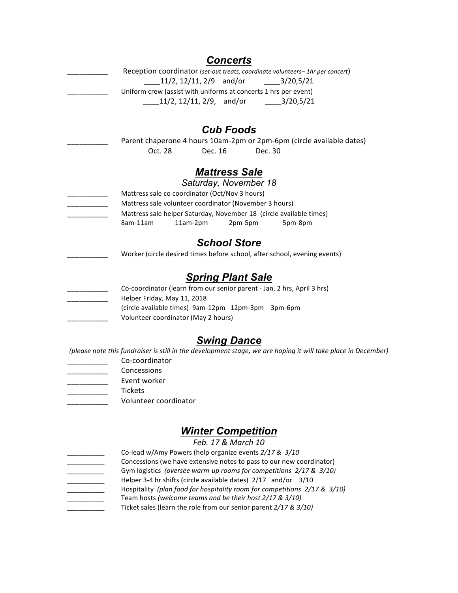|                             |                                                                 | <b>Concerts</b>          |         |                                                                                                               |  |
|-----------------------------|-----------------------------------------------------------------|--------------------------|---------|---------------------------------------------------------------------------------------------------------------|--|
|                             |                                                                 |                          |         | Reception coordinator (set-out treats, coordinate volunteers-1hr per concert)                                 |  |
|                             | $11/2$ , $12/11$ , $2/9$ and/or                                 |                          |         | 3/20,5/21                                                                                                     |  |
|                             | Uniform crew (assist with uniforms at concerts 1 hrs per event) |                          |         |                                                                                                               |  |
|                             | $11/2$ , $12/11$ , $2/9$ , and/or                               |                          |         | 3/20,5/21                                                                                                     |  |
|                             |                                                                 | <b>Cub Foods</b>         |         |                                                                                                               |  |
|                             |                                                                 |                          |         | Parent chaperone 4 hours 10am-2pm or 2pm-6pm (circle available dates)                                         |  |
| Oct. 28                     | Dec. 16                                                         |                          | Dec. 30 |                                                                                                               |  |
|                             |                                                                 |                          |         |                                                                                                               |  |
|                             |                                                                 | <b>Mattress Sale</b>     |         |                                                                                                               |  |
|                             |                                                                 | Saturday, November 18    |         |                                                                                                               |  |
|                             | Mattress sale co coordinator (Oct/Nov 3 hours)                  |                          |         |                                                                                                               |  |
|                             | Mattress sale volunteer coordinator (November 3 hours)          |                          |         |                                                                                                               |  |
|                             |                                                                 |                          |         | Mattress sale helper Saturday, November 18 (circle available times)                                           |  |
| 8am-11am                    | 11am-2pm                                                        | 2pm-5pm                  |         | 5pm-8pm                                                                                                       |  |
|                             |                                                                 | <b>School Store</b>      |         |                                                                                                               |  |
|                             |                                                                 |                          |         | Worker (circle desired times before school, after school, evening events)                                     |  |
|                             |                                                                 | <b>Spring Plant Sale</b> |         |                                                                                                               |  |
|                             |                                                                 |                          |         | Co-coordinator (learn from our senior parent - Jan. 2 hrs, April 3 hrs)                                       |  |
| Helper Friday, May 11, 2018 |                                                                 |                          |         |                                                                                                               |  |
|                             | (circle available times) 9am-12pm 12pm-3pm 3pm-6pm              |                          |         |                                                                                                               |  |
|                             | Volunteer coordinator (May 2 hours)                             |                          |         |                                                                                                               |  |
|                             |                                                                 | <b>Swing Dance</b>       |         |                                                                                                               |  |
|                             |                                                                 |                          |         | (please note this fundraiser is still in the development stage, we are hoping it will take place in December) |  |
| Co-coordinator              |                                                                 |                          |         |                                                                                                               |  |
|                             |                                                                 |                          |         |                                                                                                               |  |

- \_\_\_\_\_\_\_\_\_\_ Concessions
- Event worker
- \_\_\_\_\_\_\_\_\_\_ Tickets
	- Volunteer coordinator

# *Winter Competition*

*Feb. 17 & March 10*

Co-lead w/Amy Powers (help organize events  $2/17 & 3/10$ Concessions (we have extensive notes to pass to our new coordinator) Gym logistics (oversee warm-up rooms for competitions  $2/17 & 3/10$ ) Helper 3-4 hr shifts (circle available dates)  $2/17$  and/or  $3/10$ Hospitality (plan food for hospitality room for competitions  $2/17$  &  $3/10$ ) Team hosts (welcome teams and be their host 2/17 & 3/10) Ticket sales (learn the role from our senior parent 2/17 & 3/10)